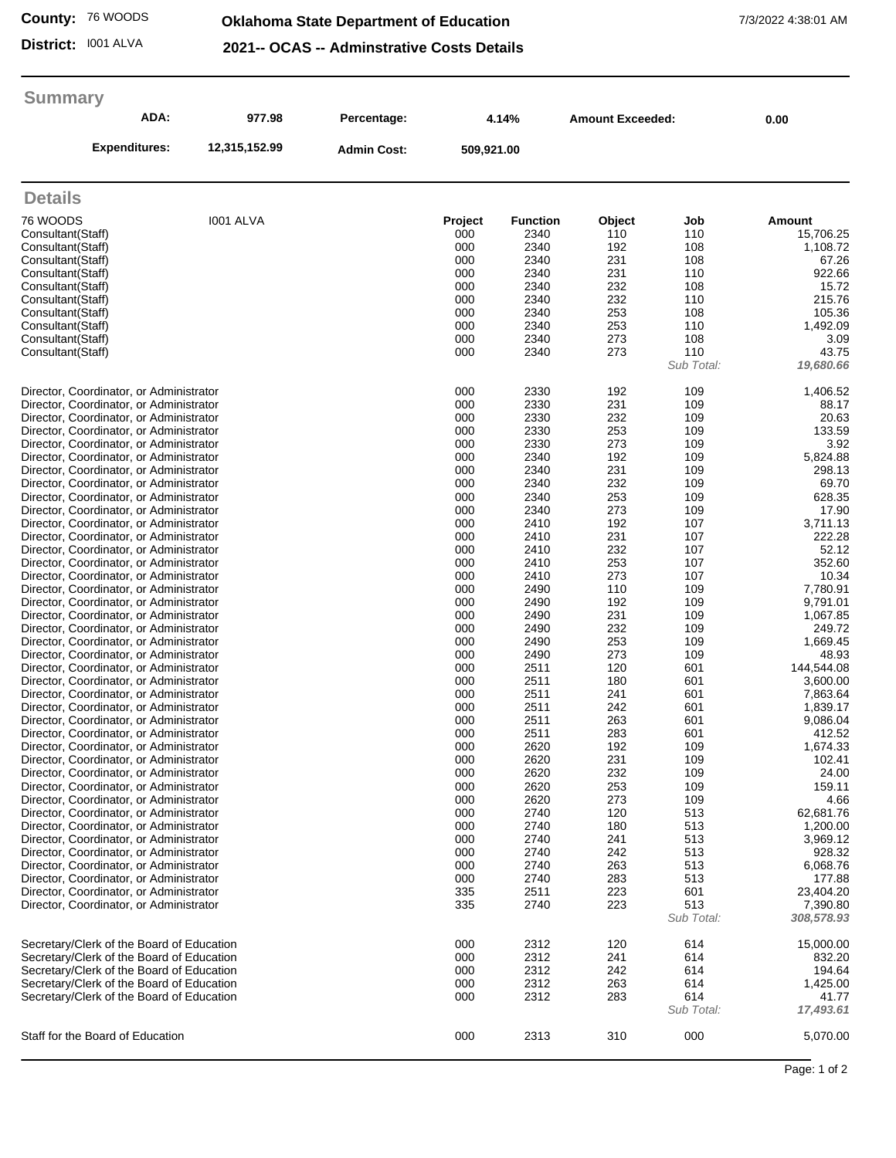**County:** 76 WOODS

## **Oklahoma State Department of Education** 7/3/2022 4:38:01 AM

**District:** I001 ALVA

|  | 2021-- OCAS -- Adminstrative Costs Details |  |
|--|--------------------------------------------|--|
|  |                                            |  |

| <b>Summary</b>                                                                                                                                                                                                                                                                                                                                                                                                                                                                                                                                                                                                                                                                                                                                                                                                                                                                                                                                                                                                                                                                                                                                                                                                                                                                                                                                                                                                                                                                                                                                                                                                                                                                                 |               |                    |                                                                                                                                                                                                                                                                        |                                                                                                                                                                                                                                                                                                              |                                                                                                                                                                                                                                                                        |                                                                                                                                                                                                                                                                        |                                                                                                                                                                                                                                                                                                                                                                                                                   |
|------------------------------------------------------------------------------------------------------------------------------------------------------------------------------------------------------------------------------------------------------------------------------------------------------------------------------------------------------------------------------------------------------------------------------------------------------------------------------------------------------------------------------------------------------------------------------------------------------------------------------------------------------------------------------------------------------------------------------------------------------------------------------------------------------------------------------------------------------------------------------------------------------------------------------------------------------------------------------------------------------------------------------------------------------------------------------------------------------------------------------------------------------------------------------------------------------------------------------------------------------------------------------------------------------------------------------------------------------------------------------------------------------------------------------------------------------------------------------------------------------------------------------------------------------------------------------------------------------------------------------------------------------------------------------------------------|---------------|--------------------|------------------------------------------------------------------------------------------------------------------------------------------------------------------------------------------------------------------------------------------------------------------------|--------------------------------------------------------------------------------------------------------------------------------------------------------------------------------------------------------------------------------------------------------------------------------------------------------------|------------------------------------------------------------------------------------------------------------------------------------------------------------------------------------------------------------------------------------------------------------------------|------------------------------------------------------------------------------------------------------------------------------------------------------------------------------------------------------------------------------------------------------------------------|-------------------------------------------------------------------------------------------------------------------------------------------------------------------------------------------------------------------------------------------------------------------------------------------------------------------------------------------------------------------------------------------------------------------|
| ADA:                                                                                                                                                                                                                                                                                                                                                                                                                                                                                                                                                                                                                                                                                                                                                                                                                                                                                                                                                                                                                                                                                                                                                                                                                                                                                                                                                                                                                                                                                                                                                                                                                                                                                           | 977.98        | Percentage:        |                                                                                                                                                                                                                                                                        | 4.14%                                                                                                                                                                                                                                                                                                        | <b>Amount Exceeded:</b>                                                                                                                                                                                                                                                |                                                                                                                                                                                                                                                                        | 0.00                                                                                                                                                                                                                                                                                                                                                                                                              |
| <b>Expenditures:</b>                                                                                                                                                                                                                                                                                                                                                                                                                                                                                                                                                                                                                                                                                                                                                                                                                                                                                                                                                                                                                                                                                                                                                                                                                                                                                                                                                                                                                                                                                                                                                                                                                                                                           | 12,315,152.99 | <b>Admin Cost:</b> | 509,921.00                                                                                                                                                                                                                                                             |                                                                                                                                                                                                                                                                                                              |                                                                                                                                                                                                                                                                        |                                                                                                                                                                                                                                                                        |                                                                                                                                                                                                                                                                                                                                                                                                                   |
| <b>Details</b>                                                                                                                                                                                                                                                                                                                                                                                                                                                                                                                                                                                                                                                                                                                                                                                                                                                                                                                                                                                                                                                                                                                                                                                                                                                                                                                                                                                                                                                                                                                                                                                                                                                                                 |               |                    |                                                                                                                                                                                                                                                                        |                                                                                                                                                                                                                                                                                                              |                                                                                                                                                                                                                                                                        |                                                                                                                                                                                                                                                                        |                                                                                                                                                                                                                                                                                                                                                                                                                   |
| 76 WOODS<br>Consultant(Staff)<br>Consultant(Staff)<br>Consultant(Staff)<br>Consultant(Staff)<br>Consultant(Staff)<br>Consultant(Staff)<br>Consultant(Staff)                                                                                                                                                                                                                                                                                                                                                                                                                                                                                                                                                                                                                                                                                                                                                                                                                                                                                                                                                                                                                                                                                                                                                                                                                                                                                                                                                                                                                                                                                                                                    | 1001 ALVA     |                    | Project<br>000<br>000<br>000<br>000<br>000<br>000<br>000                                                                                                                                                                                                               | <b>Function</b><br>2340<br>2340<br>2340<br>2340<br>2340<br>2340<br>2340                                                                                                                                                                                                                                      | Object<br>110<br>192<br>231<br>231<br>232<br>232<br>253                                                                                                                                                                                                                | Job<br>110<br>108<br>108<br>110<br>108<br>110<br>108                                                                                                                                                                                                                   | Amount<br>15,706.25<br>1,108.72<br>67.26<br>922.66<br>15.72<br>215.76<br>105.36                                                                                                                                                                                                                                                                                                                                   |
| Consultant(Staff)<br>Consultant(Staff)<br>Consultant (Staff)                                                                                                                                                                                                                                                                                                                                                                                                                                                                                                                                                                                                                                                                                                                                                                                                                                                                                                                                                                                                                                                                                                                                                                                                                                                                                                                                                                                                                                                                                                                                                                                                                                   |               |                    | 000<br>000<br>000                                                                                                                                                                                                                                                      | 2340<br>2340<br>2340                                                                                                                                                                                                                                                                                         | 253<br>273<br>273                                                                                                                                                                                                                                                      | 110<br>108<br>110<br>Sub Total:                                                                                                                                                                                                                                        | 1,492.09<br>3.09<br>43.75<br>19,680.66                                                                                                                                                                                                                                                                                                                                                                            |
| Director, Coordinator, or Administrator<br>Director, Coordinator, or Administrator<br>Director, Coordinator, or Administrator<br>Director, Coordinator, or Administrator<br>Director, Coordinator, or Administrator<br>Director, Coordinator, or Administrator<br>Director, Coordinator, or Administrator<br>Director, Coordinator, or Administrator<br>Director, Coordinator, or Administrator<br>Director, Coordinator, or Administrator<br>Director, Coordinator, or Administrator<br>Director, Coordinator, or Administrator<br>Director, Coordinator, or Administrator<br>Director, Coordinator, or Administrator<br>Director, Coordinator, or Administrator<br>Director, Coordinator, or Administrator<br>Director, Coordinator, or Administrator<br>Director, Coordinator, or Administrator<br>Director, Coordinator, or Administrator<br>Director, Coordinator, or Administrator<br>Director, Coordinator, or Administrator<br>Director, Coordinator, or Administrator<br>Director, Coordinator, or Administrator<br>Director, Coordinator, or Administrator<br>Director, Coordinator, or Administrator<br>Director, Coordinator, or Administrator<br>Director, Coordinator, or Administrator<br>Director, Coordinator, or Administrator<br>Director, Coordinator, or Administrator<br>Director, Coordinator, or Administrator<br>Director, Coordinator, or Administrator<br>Director, Coordinator, or Administrator<br>Director, Coordinator, or Administrator<br>Director, Coordinator, or Administrator<br>Director, Coordinator, or Administrator<br>Director, Coordinator, or Administrator<br>Director, Coordinator, or Administrator<br>Director, Coordinator, or Administrator |               |                    | 000<br>000<br>000<br>000<br>000<br>000<br>000<br>000<br>000<br>000<br>000<br>000<br>000<br>000<br>000<br>000<br>000<br>000<br>000<br>000<br>000<br>000<br>000<br>000<br>000<br>000<br>000<br>000<br>000<br>000<br>000<br>000<br>000<br>000<br>000<br>000<br>000<br>000 | 2330<br>2330<br>2330<br>2330<br>2330<br>2340<br>2340<br>2340<br>2340<br>2340<br>2410<br>2410<br>2410<br>2410<br>2410<br>2490<br>2490<br>2490<br>2490<br>2490<br>2490<br>2511<br>2511<br>2511<br>2511<br>2511<br>2511<br>2620<br>2620<br>2620<br>2620<br>2620<br>2740<br>2740<br>2740<br>2740<br>2740<br>2740 | 192<br>231<br>232<br>253<br>273<br>192<br>231<br>232<br>253<br>273<br>192<br>231<br>232<br>253<br>273<br>110<br>192<br>231<br>232<br>253<br>273<br>120<br>180<br>241<br>242<br>263<br>283<br>192<br>231<br>232<br>253<br>273<br>120<br>180<br>241<br>242<br>263<br>283 | 109<br>109<br>109<br>109<br>109<br>109<br>109<br>109<br>109<br>109<br>107<br>107<br>107<br>107<br>107<br>109<br>109<br>109<br>109<br>109<br>109<br>601<br>601<br>601<br>601<br>601<br>601<br>109<br>109<br>109<br>109<br>109<br>513<br>513<br>513<br>513<br>513<br>513 | 1,406.52<br>88.17<br>20.63<br>133.59<br>3.92<br>5,824.88<br>298.13<br>69.70<br>628.35<br>17.90<br>3,711.13<br>222.28<br>52.12<br>352.60<br>10.34<br>7,780.91<br>9,791.01<br>1,067.85<br>249.72<br>1,669.45<br>48.93<br>144,544.08<br>3,600.00<br>7,863.64<br>1,839.17<br>9,086.04<br>412.52<br>1,674.33<br>102.41<br>24.00<br>159.11<br>4.66<br>62,681.76<br>1,200.00<br>3,969.12<br>928.32<br>6,068.76<br>177.88 |
| Director, Coordinator, or Administrator<br>Director, Coordinator, or Administrator                                                                                                                                                                                                                                                                                                                                                                                                                                                                                                                                                                                                                                                                                                                                                                                                                                                                                                                                                                                                                                                                                                                                                                                                                                                                                                                                                                                                                                                                                                                                                                                                             |               |                    | 335<br>335                                                                                                                                                                                                                                                             | 2511<br>2740                                                                                                                                                                                                                                                                                                 | 223<br>223                                                                                                                                                                                                                                                             | 601<br>513<br>Sub Total:                                                                                                                                                                                                                                               | 23,404.20<br>7,390.80<br>308,578.93                                                                                                                                                                                                                                                                                                                                                                               |
| Secretary/Clerk of the Board of Education<br>Secretary/Clerk of the Board of Education<br>Secretary/Clerk of the Board of Education<br>Secretary/Clerk of the Board of Education<br>Secretary/Clerk of the Board of Education                                                                                                                                                                                                                                                                                                                                                                                                                                                                                                                                                                                                                                                                                                                                                                                                                                                                                                                                                                                                                                                                                                                                                                                                                                                                                                                                                                                                                                                                  |               |                    | 000<br>000<br>000<br>000<br>000                                                                                                                                                                                                                                        | 2312<br>2312<br>2312<br>2312<br>2312                                                                                                                                                                                                                                                                         | 120<br>241<br>242<br>263<br>283                                                                                                                                                                                                                                        | 614<br>614<br>614<br>614<br>614<br>Sub Total:                                                                                                                                                                                                                          | 15,000.00<br>832.20<br>194.64<br>1,425.00<br>41.77<br>17,493.61                                                                                                                                                                                                                                                                                                                                                   |
| Staff for the Board of Education                                                                                                                                                                                                                                                                                                                                                                                                                                                                                                                                                                                                                                                                                                                                                                                                                                                                                                                                                                                                                                                                                                                                                                                                                                                                                                                                                                                                                                                                                                                                                                                                                                                               |               |                    | 000                                                                                                                                                                                                                                                                    | 2313                                                                                                                                                                                                                                                                                                         | 310                                                                                                                                                                                                                                                                    | 000                                                                                                                                                                                                                                                                    | 5,070.00                                                                                                                                                                                                                                                                                                                                                                                                          |